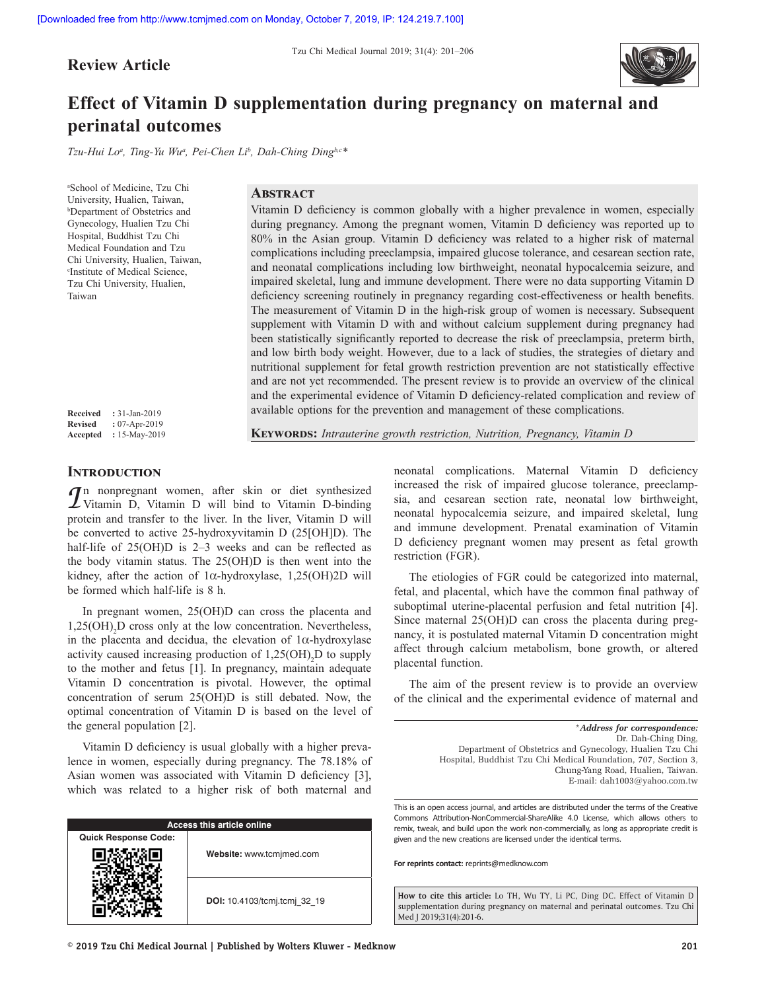**Review Article**



# **Effect of Vitamin D supplementation during pregnancy on maternal and perinatal outcomes**

*Tzu‑Hui Loa , Ting‑Yu Wua , Pei‑Chen Lib , Dah‑Ching Dingb,c\**

a School of Medicine, Tzu Chi University, Hualien, Taiwan, b Department of Obstetrics and Gynecology, Hualien Tzu Chi Hospital, Buddhist Tzu Chi Medical Foundation and Tzu Chi University, Hualien, Taiwan, c Institute of Medical Science, Tzu Chi University, Hualien, Taiwan

## **Abstract**

Vitamin D deficiency is common globally with a higher prevalence in women, especially during pregnancy. Among the pregnant women, Vitamin D deficiency was reported up to 80% in the Asian group. Vitamin D deficiency was related to a higher risk of maternal complications including preeclampsia, impaired glucose tolerance, and cesarean section rate, and neonatal complications including low birthweight, neonatal hypocalcemia seizure, and impaired skeletal, lung and immune development. There were no data supporting Vitamin D deficiency screening routinely in pregnancy regarding cost-effectiveness or health benefits. The measurement of Vitamin D in the high-risk group of women is necessary. Subsequent supplement with Vitamin D with and without calcium supplement during pregnancy had been statistically significantly reported to decrease the risk of preeclampsia, preterm birth, and low birth body weight. However, due to a lack of studies, the strategies of dietary and nutritional supplement for fetal growth restriction prevention are not statistically effective and are not yet recommended. The present review is to provide an overview of the clinical and the experimental evidence of Vitamin D deficiency-related complication and review of available options for the prevention and management of these complications.

**Received :** 31-Jan-2019 **Revised :** 07-Apr-2019 **Accepted :** 15-May-2019

**Keywords:** *Intrauterine growth restriction, Nutrition, Pregnancy, Vitamin D*

## **Introduction**

*I*n nonpregnant women, after skin or diet synthesized  $\angle$  Vitamin D, Vitamin D will bind to Vitamin D-binding protein and transfer to the liver. In the liver, Vitamin D will be converted to active 25-hydroxyvitamin D (25[OH]D). The half-life of 25(OH)D is 2–3 weeks and can be reflected as the body vitamin status. The 25(OH)D is then went into the kidney, after the action of 1α-hydroxylase, 1,25(OH)2D will be formed which half-life is 8 h.

In pregnant women, 25(OH)D can cross the placenta and  $1,25(OH)$ <sub>2</sub>D cross only at the low concentration. Nevertheless, in the placenta and decidua, the elevation of  $1\alpha$ -hydroxylase activity caused increasing production of  $1,25(OH)_{2}D$  to supply to the mother and fetus [1]. In pregnancy, maintain adequate Vitamin D concentration is pivotal. However, the optimal concentration of serum 25(OH)D is still debated. Now, the optimal concentration of Vitamin D is based on the level of the general population [2].

Vitamin D deficiency is usual globally with a higher prevalence in women, especially during pregnancy. The 78.18% of Asian women was associated with Vitamin D deficiency [3], which was related to a higher risk of both maternal and

| Access this article online  |                              |
|-----------------------------|------------------------------|
| <b>Quick Response Code:</b> |                              |
|                             | Website: www.tcmjmed.com     |
|                             | DOI: 10.4103/tcmj.tcmj 32 19 |

neonatal complications. Maternal Vitamin D deficiency increased the risk of impaired glucose tolerance, preeclampsia, and cesarean section rate, neonatal low birthweight, neonatal hypocalcemia seizure, and impaired skeletal, lung and immune development. Prenatal examination of Vitamin D deficiency pregnant women may present as fetal growth restriction (FGR).

The etiologies of FGR could be categorized into maternal, fetal, and placental, which have the common final pathway of suboptimal uterine-placental perfusion and fetal nutrition [4]. Since maternal 25(OH)D can cross the placenta during pregnancy, it is postulated maternal Vitamin D concentration might affect through calcium metabolism, bone growth, or altered placental function.

The aim of the present review is to provide an overview of the clinical and the experimental evidence of maternal and

> \**Address for correspondence:* Dr. Dah‑Ching Ding, Department of Obstetrics and Gynecology, Hualien Tzu Chi Hospital, Buddhist Tzu Chi Medical Foundation, 707, Section 3, Chung‑Yang Road, Hualien, Taiwan. E‑mail: dah1003@yahoo.com.tw

This is an open access journal, and articles are distributed under the terms of the Creative Commons Attribution-NonCommercial-ShareAlike 4.0 License, which allows others to remix, tweak, and build upon the work non-commercially, as long as appropriate credit is given and the new creations are licensed under the identical terms.

**For reprints contact:** reprints@medknow.com

**How to cite this article:** Lo TH, Wu TY, Li PC, Ding DC. Effect of Vitamin D supplementation during pregnancy on maternal and perinatal outcomes. Tzu Chi Med | 2019;31(4):201-6.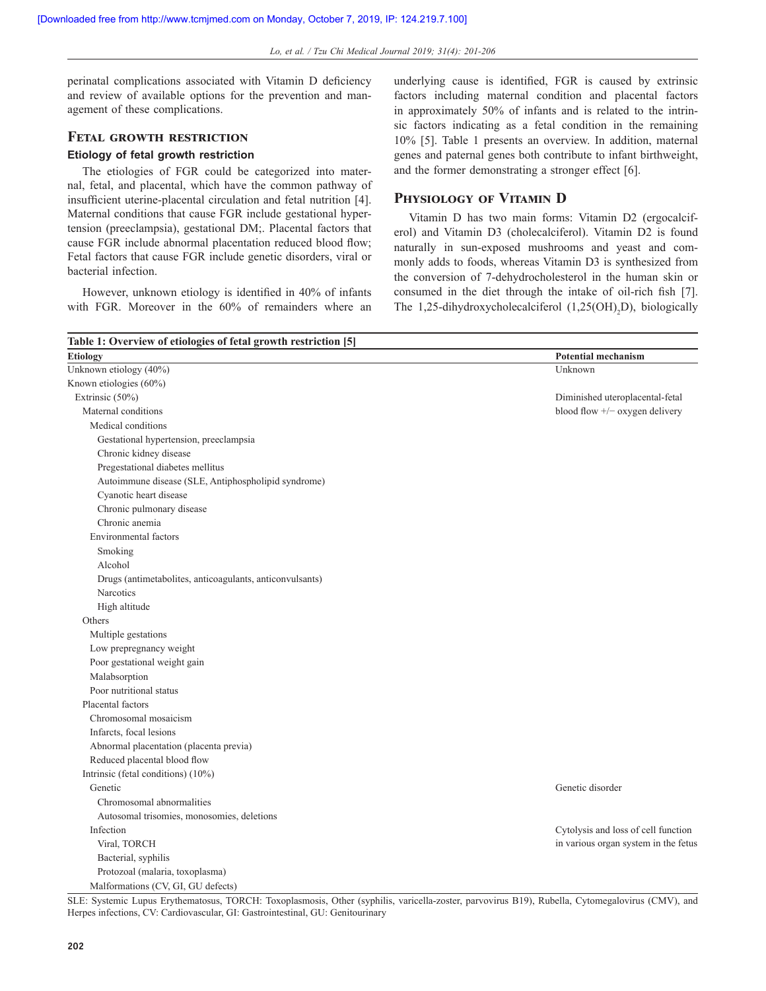perinatal complications associated with Vitamin D deficiency and review of available options for the prevention and management of these complications.

## **Fetal growth restriction**

#### **Etiology of fetal growth restriction**

The etiologies of FGR could be categorized into maternal, fetal, and placental, which have the common pathway of insufficient uterine-placental circulation and fetal nutrition [4]. Maternal conditions that cause FGR include gestational hypertension (preeclampsia), gestational DM;. Placental factors that cause FGR include abnormal placentation reduced blood flow; Fetal factors that cause FGR include genetic disorders, viral or bacterial infection.

However, unknown etiology is identified in 40% of infants with FGR. Moreover in the 60% of remainders where an underlying cause is identified, FGR is caused by extrinsic factors including maternal condition and placental factors in approximately 50% of infants and is related to the intrinsic factors indicating as a fetal condition in the remaining 10% [5]. Table 1 presents an overview. In addition, maternal genes and paternal genes both contribute to infant birthweight, and the former demonstrating a stronger effect [6].

## **Physiology of Vitamin D**

Vitamin D has two main forms: Vitamin D2 (ergocalciferol) and Vitamin D3 (cholecalciferol). Vitamin D2 is found naturally in sun-exposed mushrooms and yeast and commonly adds to foods, whereas Vitamin D3 is synthesized from the conversion of 7-dehydrocholesterol in the human skin or consumed in the diet through the intake of oil-rich fish [7]. The 1,25-dihydroxycholecalciferol  $(1,25(OH)_2D)$ , biologically

| Table 1: Overview of etiologies of fetal growth restriction [5] |                                      |  |
|-----------------------------------------------------------------|--------------------------------------|--|
| <b>Etiology</b>                                                 | <b>Potential mechanism</b>           |  |
| Unknown etiology (40%)                                          | Unknown                              |  |
| Known etiologies (60%)                                          |                                      |  |
| Extrinsic (50%)                                                 | Diminished uteroplacental-fetal      |  |
| Maternal conditions                                             | blood flow $+/-$ oxygen delivery     |  |
| Medical conditions                                              |                                      |  |
| Gestational hypertension, preeclampsia                          |                                      |  |
| Chronic kidney disease                                          |                                      |  |
| Pregestational diabetes mellitus                                |                                      |  |
| Autoimmune disease (SLE, Antiphospholipid syndrome)             |                                      |  |
| Cyanotic heart disease                                          |                                      |  |
| Chronic pulmonary disease                                       |                                      |  |
| Chronic anemia                                                  |                                      |  |
| Environmental factors                                           |                                      |  |
| Smoking                                                         |                                      |  |
| Alcohol                                                         |                                      |  |
| Drugs (antimetabolites, anticoagulants, anticonvulsants)        |                                      |  |
| Narcotics                                                       |                                      |  |
| High altitude                                                   |                                      |  |
| Others                                                          |                                      |  |
| Multiple gestations                                             |                                      |  |
| Low prepregnancy weight                                         |                                      |  |
| Poor gestational weight gain                                    |                                      |  |
| Malabsorption                                                   |                                      |  |
| Poor nutritional status                                         |                                      |  |
| Placental factors                                               |                                      |  |
| Chromosomal mosaicism                                           |                                      |  |
| Infarcts, focal lesions                                         |                                      |  |
| Abnormal placentation (placenta previa)                         |                                      |  |
| Reduced placental blood flow                                    |                                      |  |
| Intrinsic (fetal conditions) (10%)                              |                                      |  |
| Genetic                                                         | Genetic disorder                     |  |
| Chromosomal abnormalities                                       |                                      |  |
| Autosomal trisomies, monosomies, deletions                      |                                      |  |
| Infection                                                       | Cytolysis and loss of cell function  |  |
| Viral, TORCH                                                    | in various organ system in the fetus |  |
| Bacterial, syphilis                                             |                                      |  |
| Protozoal (malaria, toxoplasma)                                 |                                      |  |
| Malformations (CV, GI, GU defects)                              |                                      |  |

SLE: Systemic Lupus Erythematosus, TORCH: Toxoplasmosis, Other (syphilis, varicella-zoster, parvovirus B19), Rubella, Cytomegalovirus (CMV), and Herpes infections, CV: Cardiovascular, GI: Gastrointestinal, GU: Genitourinary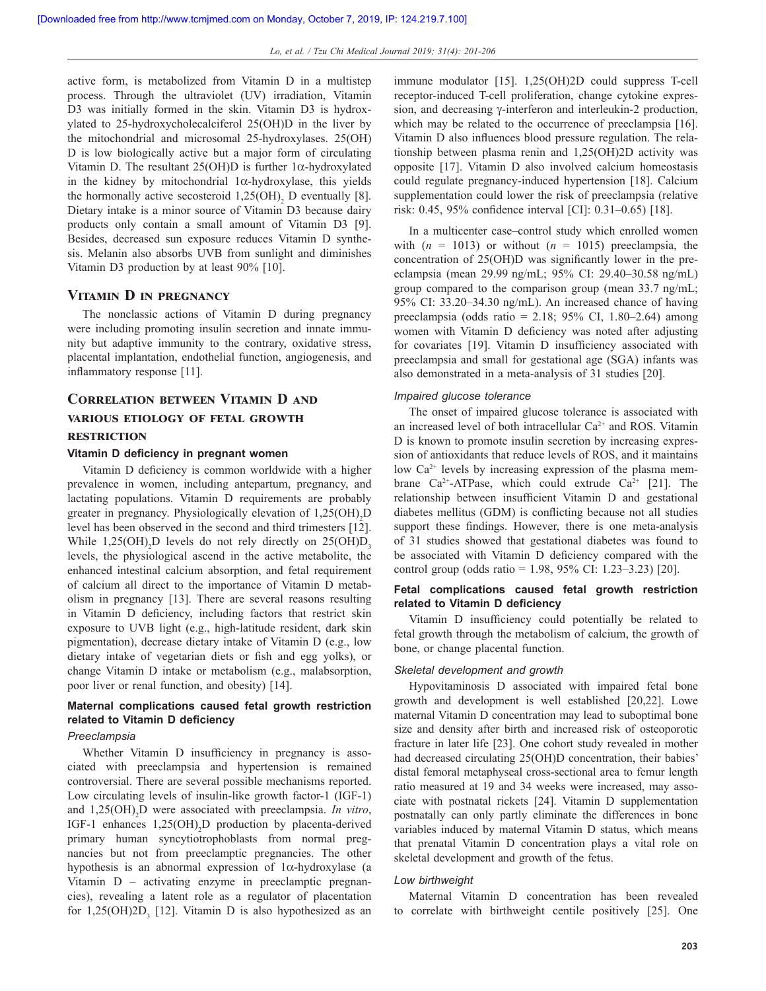active form, is metabolized from Vitamin D in a multistep process. Through the ultraviolet (UV) irradiation, Vitamin D3 was initially formed in the skin. Vitamin D3 is hydroxylated to 25-hydroxycholecalciferol 25(OH)D in the liver by the mitochondrial and microsomal 25-hydroxylases. 25(OH) D is low biologically active but a major form of circulating Vitamin D. The resultant  $25(OH)D$  is further 1 $\alpha$ -hydroxylated in the kidney by mitochondrial  $1\alpha$ -hydroxylase, this yields the hormonally active secosteroid  $1,25(OH)$ <sub>2</sub> D eventually [8]. Dietary intake is a minor source of Vitamin D3 because dairy products only contain a small amount of Vitamin D3 [9]. Besides, decreased sun exposure reduces Vitamin D synthesis. Melanin also absorbs UVB from sunlight and diminishes Vitamin D3 production by at least 90% [10].

#### **Vitamin D in pregnancy**

The nonclassic actions of Vitamin D during pregnancy were including promoting insulin secretion and innate immunity but adaptive immunity to the contrary, oxidative stress, placental implantation, endothelial function, angiogenesis, and inflammatory response [11].

# **Correlation between Vitamin D and various etiology of fetal growth restriction**

#### **Vitamin D deficiency in pregnant women**

Vitamin D deficiency is common worldwide with a higher prevalence in women, including antepartum, pregnancy, and lactating populations. Vitamin D requirements are probably greater in pregnancy. Physiologically elevation of  $1,25(OH)_{2}D$ level has been observed in the second and third trimesters [12]. While  $1,25(OH)_{2}D$  levels do not rely directly on  $25(OH)D_{3}$ levels, the physiological ascend in the active metabolite, the enhanced intestinal calcium absorption, and fetal requirement of calcium all direct to the importance of Vitamin D metabolism in pregnancy [13]. There are several reasons resulting in Vitamin D deficiency, including factors that restrict skin exposure to UVB light (e.g., high-latitude resident, dark skin pigmentation), decrease dietary intake of Vitamin D (e.g., low dietary intake of vegetarian diets or fish and egg yolks), or change Vitamin D intake or metabolism (e.g., malabsorption, poor liver or renal function, and obesity) [14].

## **Maternal complications caused fetal growth restriction related to Vitamin D deficiency**

#### *Preeclampsia*

Whether Vitamin D insufficiency in pregnancy is associated with preeclampsia and hypertension is remained controversial. There are several possible mechanisms reported. Low circulating levels of insulin-like growth factor-1 (IGF-1) and 1,25(OH)2 D were associated with preeclampsia. *In vitro*, IGF-1 enhances  $1,25(OH)$ <sub>2</sub>D production by placenta-derived primary human syncytiotrophoblasts from normal pregnancies but not from preeclamptic pregnancies. The other hypothesis is an abnormal expression of 1α-hydroxylase (a Vitamin D – activating enzyme in preeclamptic pregnancies), revealing a latent role as a regulator of placentation for  $1,25(OH)2D$ , [12]. Vitamin D is also hypothesized as an

immune modulator [15]. 1,25(OH)2D could suppress T-cell receptor-induced T-cell proliferation, change cytokine expression, and decreasing γ-interferon and interleukin-2 production, which may be related to the occurrence of preeclampsia [16]. Vitamin D also influences blood pressure regulation. The relationship between plasma renin and 1,25(OH)2D activity was opposite [17]. Vitamin D also involved calcium homeostasis could regulate pregnancy-induced hypertension [18]. Calcium supplementation could lower the risk of preeclampsia (relative risk: 0.45, 95% confidence interval [CI]: 0.31–0.65) [18].

In a multicenter case–control study which enrolled women with  $(n = 1013)$  or without  $(n = 1015)$  preeclampsia, the concentration of 25(OH)D was significantly lower in the preeclampsia (mean 29.99 ng/mL; 95% CI: 29.40–30.58 ng/mL) group compared to the comparison group (mean 33.7 ng/mL; 95% CI: 33.20–34.30 ng/mL). An increased chance of having preeclampsia (odds ratio =  $2.18$ ;  $95\%$  CI,  $1.80-2.64$ ) among women with Vitamin D deficiency was noted after adjusting for covariates [19]. Vitamin D insufficiency associated with preeclampsia and small for gestational age (SGA) infants was also demonstrated in a meta-analysis of 31 studies [20].

#### *Impaired glucose tolerance*

The onset of impaired glucose tolerance is associated with an increased level of both intracellular Ca<sup>2+</sup> and ROS. Vitamin D is known to promote insulin secretion by increasing expression of antioxidants that reduce levels of ROS, and it maintains low  $Ca^{2+}$  levels by increasing expression of the plasma membrane Ca<sup>2+</sup>-ATPase, which could extrude Ca<sup>2+</sup> [21]. The relationship between insufficient Vitamin D and gestational diabetes mellitus (GDM) is conflicting because not all studies support these findings. However, there is one meta-analysis of 31 studies showed that gestational diabetes was found to be associated with Vitamin D deficiency compared with the control group (odds ratio = 1.98, 95% CI: 1.23–3.23) [20].

## **Fetal complications caused fetal growth restriction related to Vitamin D deficiency**

Vitamin D insufficiency could potentially be related to fetal growth through the metabolism of calcium, the growth of bone, or change placental function.

#### *Skeletal development and growth*

Hypovitaminosis D associated with impaired fetal bone growth and development is well established [20,22]. Lowe maternal Vitamin D concentration may lead to suboptimal bone size and density after birth and increased risk of osteoporotic fracture in later life [23]. One cohort study revealed in mother had decreased circulating 25(OH)D concentration, their babies' distal femoral metaphyseal cross-sectional area to femur length ratio measured at 19 and 34 weeks were increased, may associate with postnatal rickets [24]. Vitamin D supplementation postnatally can only partly eliminate the differences in bone variables induced by maternal Vitamin D status, which means that prenatal Vitamin D concentration plays a vital role on skeletal development and growth of the fetus.

#### *Low birthweight*

Maternal Vitamin D concentration has been revealed to correlate with birthweight centile positively [25]. One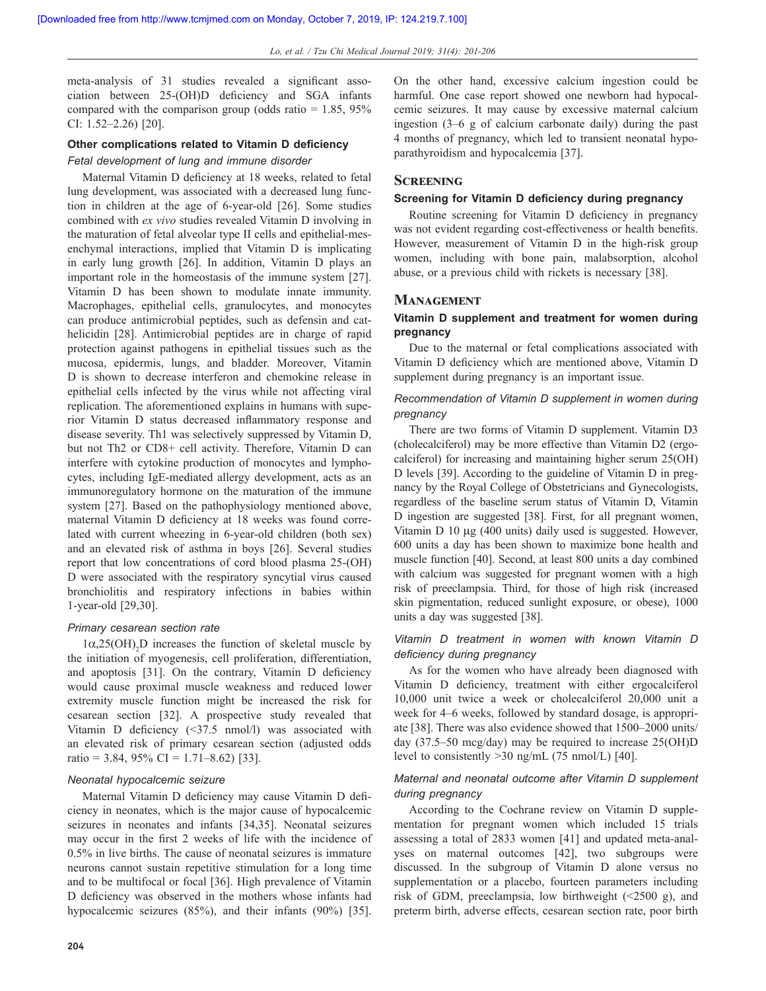meta‑analysis of 31 studies revealed a significant association between 25‑(OH)D deficiency and SGA infants compared with the comparison group (odds ratio  $= 1.85, 95\%$ ) CI: 1.52–2.26) [20].

#### **Other complications related to Vitamin D deficiency**

#### *Fetal development of lung and immune disorder*

Maternal Vitamin D deficiency at 18 weeks, related to fetal lung development, was associated with a decreased lung function in children at the age of 6-year-old [26]. Some studies combined with *ex vivo* studies revealed Vitamin D involving in the maturation of fetal alveolar type II cells and epithelial-mesenchymal interactions, implied that Vitamin D is implicating in early lung growth [26]. In addition, Vitamin D plays an important role in the homeostasis of the immune system [27]. Vitamin D has been shown to modulate innate immunity. Macrophages, epithelial cells, granulocytes, and monocytes can produce antimicrobial peptides, such as defensin and cathelicidin [28]. Antimicrobial peptides are in charge of rapid protection against pathogens in epithelial tissues such as the mucosa, epidermis, lungs, and bladder. Moreover, Vitamin D is shown to decrease interferon and chemokine release in epithelial cells infected by the virus while not affecting viral replication. The aforementioned explains in humans with superior Vitamin D status decreased inflammatory response and disease severity. Th1 was selectively suppressed by Vitamin D, but not Th2 or CD8+ cell activity. Therefore, Vitamin D can interfere with cytokine production of monocytes and lymphocytes, including IgE-mediated allergy development, acts as an immunoregulatory hormone on the maturation of the immune system [27]. Based on the pathophysiology mentioned above, maternal Vitamin D deficiency at 18 weeks was found correlated with current wheezing in 6-year-old children (both sex) and an elevated risk of asthma in boys [26]. Several studies report that low concentrations of cord blood plasma 25-(OH) D were associated with the respiratory syncytial virus caused bronchiolitis and respiratory infections in babies within 1-year-old [29,30].

#### *Primary cesarean section rate*

 $1\alpha,25(OH)$ <sub>2</sub>D increases the function of skeletal muscle by the initiation of myogenesis, cell proliferation, differentiation, and apoptosis [31]. On the contrary, Vitamin D deficiency would cause proximal muscle weakness and reduced lower extremity muscle function might be increased the risk for cesarean section [32]. A prospective study revealed that Vitamin D deficiency (<37.5 nmol/l) was associated with an elevated risk of primary cesarean section (adjusted odds ratio = 3.84, 95% CI = 1.71–8.62) [33].

#### *Neonatal hypocalcemic seizure*

Maternal Vitamin D deficiency may cause Vitamin D deficiency in neonates, which is the major cause of hypocalcemic seizures in neonates and infants [34,35]. Neonatal seizures may occur in the first 2 weeks of life with the incidence of 0.5% in live births. The cause of neonatal seizures is immature neurons cannot sustain repetitive stimulation for a long time and to be multifocal or focal [36]. High prevalence of Vitamin D deficiency was observed in the mothers whose infants had hypocalcemic seizures (85%), and their infants (90%) [35].

On the other hand, excessive calcium ingestion could be harmful. One case report showed one newborn had hypocalcemic seizures. It may cause by excessive maternal calcium ingestion (3–6 g of calcium carbonate daily) during the past 4 months of pregnancy, which led to transient neonatal hypoparathyroidism and hypocalcemia [37].

#### **Screening**

#### **Screening for Vitamin D deficiency during pregnancy**

Routine screening for Vitamin D deficiency in pregnancy was not evident regarding cost-effectiveness or health benefits. However, measurement of Vitamin D in the high-risk group women, including with bone pain, malabsorption, alcohol abuse, or a previous child with rickets is necessary [38].

## **Management**

## **Vitamin D supplement and treatment for women during pregnancy**

Due to the maternal or fetal complications associated with Vitamin D deficiency which are mentioned above, Vitamin D supplement during pregnancy is an important issue.

## *Recommendation of Vitamin D supplement in women during pregnancy*

There are two forms of Vitamin D supplement. Vitamin D3 (cholecalciferol) may be more effective than Vitamin D2 (ergocalciferol) for increasing and maintaining higher serum 25(OH) D levels [39]. According to the guideline of Vitamin D in pregnancy by the Royal College of Obstetricians and Gynecologists, regardless of the baseline serum status of Vitamin D, Vitamin D ingestion are suggested [38]. First, for all pregnant women, Vitamin D 10 μg (400 units) daily used is suggested. However, 600 units a day has been shown to maximize bone health and muscle function [40]. Second, at least 800 units a day combined with calcium was suggested for pregnant women with a high risk of preeclampsia. Third, for those of high risk (increased skin pigmentation, reduced sunlight exposure, or obese), 1000 units a day was suggested [38].

## *Vitamin D treatment in women with known Vitamin D deficiency during pregnancy*

As for the women who have already been diagnosed with Vitamin D deficiency, treatment with either ergocalciferol 10,000 unit twice a week or cholecalciferol 20,000 unit a week for 4–6 weeks, followed by standard dosage, is appropriate [38]. There was also evidence showed that 1500–2000 units/ day (37.5–50 mcg/day) may be required to increase 25(OH)D level to consistently >30 ng/mL (75 nmol/L) [40].

## *Maternal and neonatal outcome after Vitamin D supplement during pregnancy*

According to the Cochrane review on Vitamin D supplementation for pregnant women which included 15 trials assessing a total of 2833 women [41] and updated meta-analyses on maternal outcomes [42], two subgroups were discussed. In the subgroup of Vitamin D alone versus no supplementation or a placebo, fourteen parameters including risk of GDM, preeclampsia, low birthweight (<2500 g), and preterm birth, adverse effects, cesarean section rate, poor birth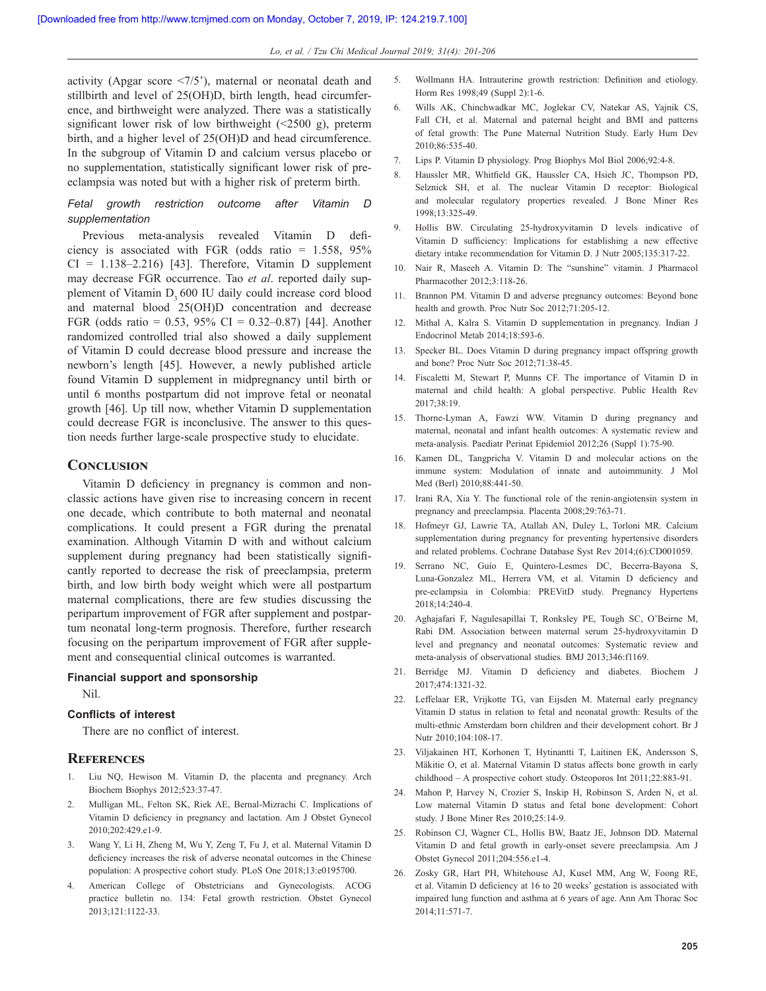activity (Apgar score <7/5'), maternal or neonatal death and stillbirth and level of 25(OH)D, birth length, head circumference, and birthweight were analyzed. There was a statistically significant lower risk of low birthweight (<2500 g), preterm birth, and a higher level of 25(OH)D and head circumference. In the subgroup of Vitamin D and calcium versus placebo or no supplementation, statistically significant lower risk of preeclampsia was noted but with a higher risk of preterm birth.

## *Fetal growth restriction outcome after Vitamin D supplementation*

Previous meta‑analysis revealed Vitamin D deficiency is associated with FGR (odds ratio  $= 1.558, 95\%$  $CI = 1.138 - 2.216$  [43]. Therefore, Vitamin D supplement may decrease FGR occurrence. Tao *et al*. reported daily supplement of Vitamin D<sub>2</sub> 600 IU daily could increase cord blood and maternal blood 25(OH)D concentration and decrease FGR (odds ratio = 0.53, 95% CI = 0.32–0.87) [44]. Another randomized controlled trial also showed a daily supplement of Vitamin D could decrease blood pressure and increase the newborn's length [45]. However, a newly published article found Vitamin D supplement in midpregnancy until birth or until 6 months postpartum did not improve fetal or neonatal growth [46]. Up till now, whether Vitamin D supplementation could decrease FGR is inconclusive. The answer to this question needs further large-scale prospective study to elucidate.

## **Conclusion**

Vitamin D deficiency in pregnancy is common and nonclassic actions have given rise to increasing concern in recent one decade, which contribute to both maternal and neonatal complications. It could present a FGR during the prenatal examination. Although Vitamin D with and without calcium supplement during pregnancy had been statistically significantly reported to decrease the risk of preeclampsia, preterm birth, and low birth body weight which were all postpartum maternal complications, there are few studies discussing the peripartum improvement of FGR after supplement and postpartum neonatal long-term prognosis. Therefore, further research focusing on the peripartum improvement of FGR after supplement and consequential clinical outcomes is warranted.

## **Financial support and sponsorship**

Nil.

## **Conflicts of interest**

There are no conflict of interest.

#### **References**

- 1. Liu NQ, Hewison M. Vitamin D, the placenta and pregnancy. Arch Biochem Biophys 2012;523:37-47.
- 2. Mulligan ML, Felton SK, Riek AE, Bernal-Mizrachi C. Implications of Vitamin D deficiency in pregnancy and lactation. Am J Obstet Gynecol 2010;202:429.e1-9.
- 3. Wang Y, Li H, Zheng M, Wu Y, Zeng T, Fu J, et al. Maternal Vitamin D deficiency increases the risk of adverse neonatal outcomes in the Chinese population: A prospective cohort study. PLoS One 2018;13:e0195700.
- 4. American College of Obstetricians and Gynecologists. ACOG practice bulletin no. 134: Fetal growth restriction. Obstet Gynecol 2013;121:1122-33.
- 5. Wollmann HA. Intrauterine growth restriction: Definition and etiology. Horm Res 1998;49 (Suppl 2):1-6.
- 6. Wills AK, Chinchwadkar MC, Joglekar CV, Natekar AS, Yajnik CS, Fall CH, et al. Maternal and paternal height and BMI and patterns of fetal growth: The Pune Maternal Nutrition Study. Early Hum Dev 2010;86:535-40.
- 7. Lips P. Vitamin D physiology. Prog Biophys Mol Biol 2006;92:4-8.
- 8. Haussler MR, Whitfield GK, Haussler CA, Hsieh JC, Thompson PD, Selznick SH, et al. The nuclear Vitamin D receptor: Biological and molecular regulatory properties revealed. J Bone Miner Res 1998;13:325-49.
- 9. Hollis BW. Circulating 25-hydroxyvitamin D levels indicative of Vitamin D sufficiency: Implications for establishing a new effective dietary intake recommendation for Vitamin D. J Nutr 2005;135:317-22.
- 10. Nair R, Maseeh A. Vitamin D: The "sunshine" vitamin. J Pharmacol Pharmacother 2012;3:118-26.
- 11. Brannon PM. Vitamin D and adverse pregnancy outcomes: Beyond bone health and growth. Proc Nutr Soc 2012;71:205-12.
- 12. Mithal A, Kalra S. Vitamin D supplementation in pregnancy. Indian J Endocrinol Metab 2014;18:593-6.
- 13. Specker BL. Does Vitamin D during pregnancy impact offspring growth and bone? Proc Nutr Soc 2012;71:38-45.
- 14. Fiscaletti M, Stewart P, Munns CF. The importance of Vitamin D in maternal and child health: A global perspective. Public Health Rev  $2017.38.19$
- 15. Thorne-Lyman A, Fawzi WW. Vitamin D during pregnancy and maternal, neonatal and infant health outcomes: A systematic review and meta-analysis. Paediatr Perinat Epidemiol 2012;26 (Suppl 1):75-90.
- 16. Kamen DL, Tangpricha V. Vitamin D and molecular actions on the immune system: Modulation of innate and autoimmunity. J Mol Med (Berl) 2010;88:441-50.
- 17. Irani RA, Xia Y. The functional role of the renin-angiotensin system in pregnancy and preeclampsia. Placenta 2008;29:763-71.
- 18. Hofmeyr GJ, Lawrie TA, Atallah AN, Duley L, Torloni MR. Calcium supplementation during pregnancy for preventing hypertensive disorders and related problems. Cochrane Database Syst Rev 2014;(6):CD001059.
- 19. Serrano NC, Guío E, Quintero-Lesmes DC, Becerra-Bayona S, Luna‑Gonzalez ML, Herrera VM, et al. Vitamin D deficiency and pre-eclampsia in Colombia: PREVitD study. Pregnancy Hypertens 2018;14:240-4.
- 20. Aghajafari F, Nagulesapillai T, Ronksley PE, Tough SC, O'Beirne M, Rabi DM. Association between maternal serum 25-hydroxyvitamin D level and pregnancy and neonatal outcomes: Systematic review and meta-analysis of observational studies. BMJ 2013;346:f1169.
- 21. Berridge MJ. Vitamin D deficiency and diabetes. Biochem J 2017;474:1321-32.
- 22. Leffelaar ER, Vrijkotte TG, van Eijsden M. Maternal early pregnancy Vitamin D status in relation to fetal and neonatal growth: Results of the multi-ethnic Amsterdam born children and their development cohort. Br J Nutr 2010;104:108-17.
- 23. Viljakainen HT, Korhonen T, Hytinantti T, Laitinen EK, Andersson S, Mäkitie O, et al. Maternal Vitamin D status affects bone growth in early childhood – A prospective cohort study. Osteoporos Int 2011;22:883-91.
- 24. Mahon P, Harvey N, Crozier S, Inskip H, Robinson S, Arden N, et al. Low maternal Vitamin D status and fetal bone development: Cohort study. J Bone Miner Res 2010;25:14-9.
- 25. Robinson CJ, Wagner CL, Hollis BW, Baatz JE, Johnson DD. Maternal Vitamin D and fetal growth in early-onset severe preeclampsia. Am J Obstet Gynecol 2011;204:556.e1-4.
- 26. Zosky GR, Hart PH, Whitehouse AJ, Kusel MM, Ang W, Foong RE, et al. Vitamin D deficiency at 16 to 20 weeks' gestation is associated with impaired lung function and asthma at 6 years of age. Ann Am Thorac Soc 2014;11:571-7.